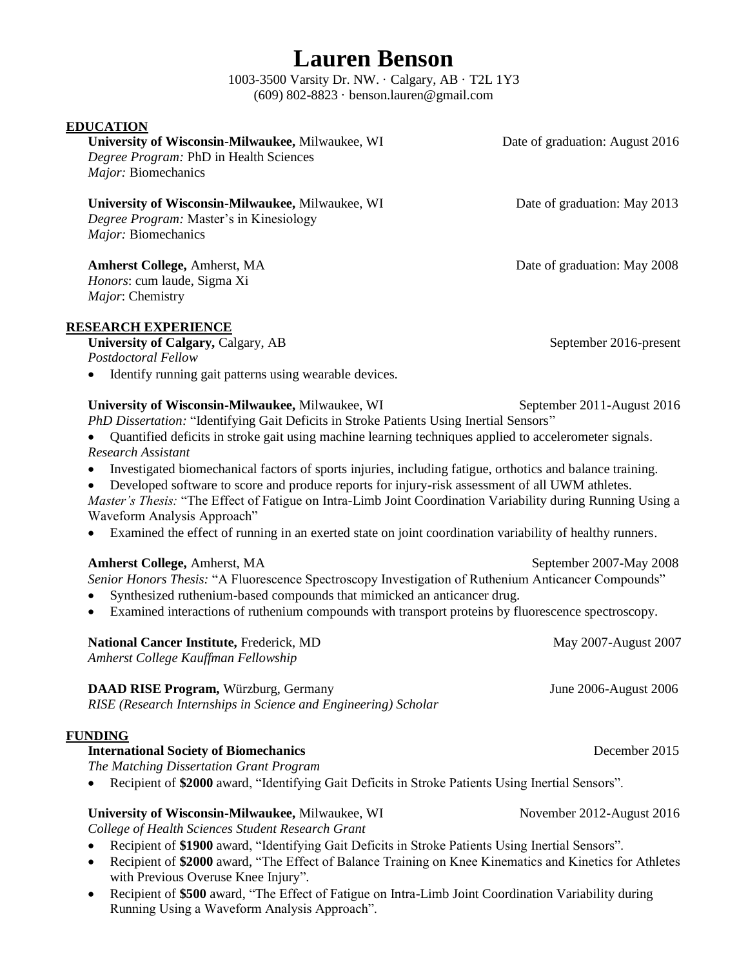1003-3500 Varsity Dr. NW. · Calgary, AB · T2L 1Y3 (609) 802-8823 · benson.lauren@gmail.com

#### **EDUCATION**

**University of Wisconsin-Milwaukee,** Milwaukee, WI Date of graduation: August 2016 *Degree Program:* PhD in Health Sciences *Major:* Biomechanics

**University of Wisconsin-Milwaukee, Milwaukee, WI** Date of graduation: May 2013 *Degree Program:* Master's in Kinesiology *Major:* Biomechanics

**Amherst College,** Amherst, MA Date of graduation: May 2008 *Honors*: cum laude, Sigma Xi *Major*: Chemistry

#### **RESEARCH EXPERIENCE**

University of Calgary, Calgary, AB September 2016-present *Postdoctoral Fellow*

Identify running gait patterns using wearable devices.

#### **University of Wisconsin-Milwaukee, Milwaukee, WI** September 2011-August 2016

- *PhD Dissertation:* "Identifying Gait Deficits in Stroke Patients Using Inertial Sensors"
- Quantified deficits in stroke gait using machine learning techniques applied to accelerometer signals. *Research Assistant*
- Investigated biomechanical factors of sports injuries, including fatigue, orthotics and balance training.
- Developed software to score and produce reports for injury-risk assessment of all UWM athletes.
- *Master's Thesis:* "The Effect of Fatigue on Intra-Limb Joint Coordination Variability during Running Using a Waveform Analysis Approach"
- Examined the effect of running in an exerted state on joint coordination variability of healthy runners.

#### **Amherst College, Amherst, MA** September 2007-May 2008

*Senior Honors Thesis:* "A Fluorescence Spectroscopy Investigation of Ruthenium Anticancer Compounds"

- Synthesized ruthenium-based compounds that mimicked an anticancer drug.
- Examined interactions of ruthenium compounds with transport proteins by fluorescence spectroscopy.

| <b>National Cancer Institute, Frederick, MD</b>                                                                                                                                                                                                                                       | May 2007-August 2007                              |
|---------------------------------------------------------------------------------------------------------------------------------------------------------------------------------------------------------------------------------------------------------------------------------------|---------------------------------------------------|
| Amherst College Kauffman Fellowship                                                                                                                                                                                                                                                   |                                                   |
| $\mathbf{D}$ ( in $\mathbf{D}$ in $\mathbf{D}$ in $\mathbf{D}$ is the same in $\mathbf{D}$ in $\mathbf{D}$ is the same in $\mathbf{D}$ in $\mathbf{D}$ is the same in $\mathbf{D}$ in $\mathbf{D}$ is the same in $\mathbf{D}$ in $\mathbf{D}$ is the same in $\mathbf{D}$ in $\math$ | $L_{\text{max}}$ $0.006$ $A_{\text{max}}$ $0.006$ |

**DAAD RISE Program,** Würzburg, Germany June 2006-August 2006 *RISE (Research Internships in Science and Engineering) Scholar*

#### **FUNDING**

#### **International Society of Biomechanics** December 2015

*The Matching Dissertation Grant Program*

Recipient of **\$2000** award, "Identifying Gait Deficits in Stroke Patients Using Inertial Sensors".

### **University of Wisconsin-Milwaukee,** Milwaukee, WI November 2012-August 2016

*College of Health Sciences Student Research Grant*

- Recipient of **\$1900** award, "Identifying Gait Deficits in Stroke Patients Using Inertial Sensors".
- Recipient of **\$2000** award, "The Effect of Balance Training on Knee Kinematics and Kinetics for Athletes with Previous Overuse Knee Injury".
- Recipient of **\$500** award, "The Effect of Fatigue on Intra-Limb Joint Coordination Variability during Running Using a Waveform Analysis Approach".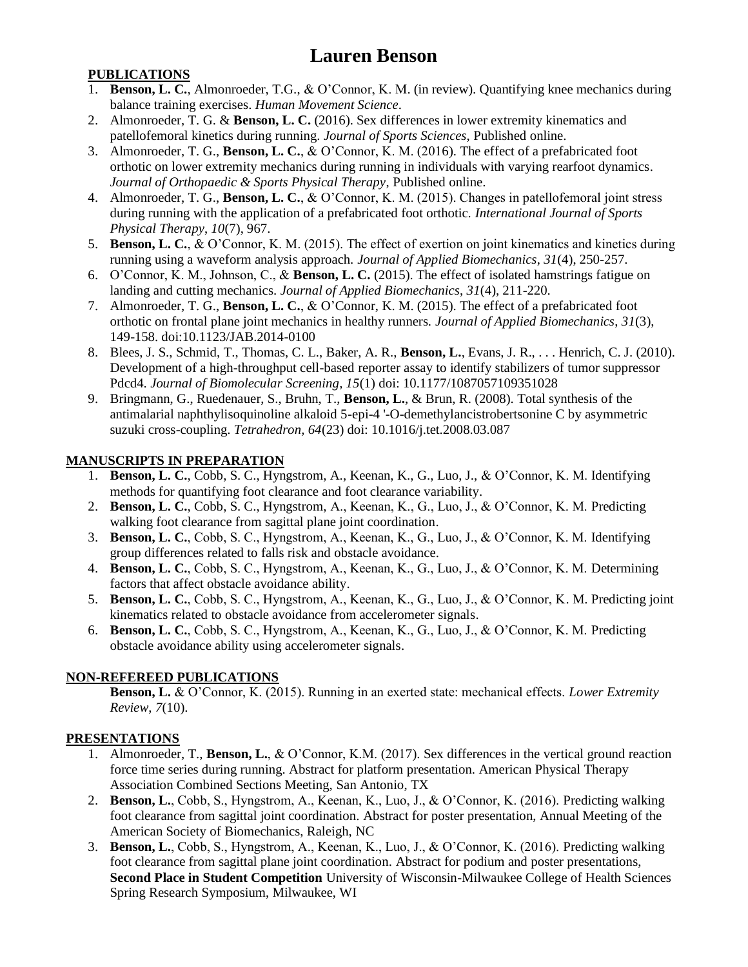#### **PUBLICATIONS**

- 1. **Benson, L. C.**, Almonroeder, T.G., & O'Connor, K. M. (in review). Quantifying knee mechanics during balance training exercises. *Human Movement Science*.
- 2. Almonroeder, T. G. & **Benson, L. C.** (2016). Sex differences in lower extremity kinematics and patellofemoral kinetics during running. *Journal of Sports Sciences*, Published online.
- 3. Almonroeder, T. G., **Benson, L. C.**, & O'Connor, K. M. (2016). The effect of a prefabricated foot orthotic on lower extremity mechanics during running in individuals with varying rearfoot dynamics. *Journal of Orthopaedic & Sports Physical Therapy*, Published online.
- 4. Almonroeder, T. G., **Benson, L. C.**, & O'Connor, K. M. (2015). Changes in patellofemoral joint stress during running with the application of a prefabricated foot orthotic. *International Journal of Sports Physical Therapy*, *10*(7), 967.
- 5. **Benson, L. C.**, & O'Connor, K. M. (2015). The effect of exertion on joint kinematics and kinetics during running using a waveform analysis approach. *Journal of Applied Biomechanics*, *31*(4), 250-257.
- 6. O'Connor, K. M., Johnson, C., & **Benson, L. C.** (2015). The effect of isolated hamstrings fatigue on landing and cutting mechanics. *Journal of Applied Biomechanics*, *31*(4), 211-220.
- 7. Almonroeder, T. G., **Benson, L. C.**, & O'Connor, K. M. (2015). The effect of a prefabricated foot orthotic on frontal plane joint mechanics in healthy runners. *Journal of Applied Biomechanics*, *31*(3), 149-158. doi:10.1123/JAB.2014-0100
- 8. Blees, J. S., Schmid, T., Thomas, C. L., Baker, A. R., **Benson, L.**, Evans, J. R., . . . Henrich, C. J. (2010). Development of a high-throughput cell-based reporter assay to identify stabilizers of tumor suppressor Pdcd4. *Journal of Biomolecular Screening, 15*(1) doi: 10.1177/1087057109351028
- 9. Bringmann, G., Ruedenauer, S., Bruhn, T., **Benson, L.**, & Brun, R. (2008). Total synthesis of the antimalarial naphthylisoquinoline alkaloid 5-epi-4 '-O-demethylancistrobertsonine C by asymmetric suzuki cross-coupling. *Tetrahedron, 64*(23) doi: 10.1016/j.tet.2008.03.087

#### **MANUSCRIPTS IN PREPARATION**

- 1. **Benson, L. C.**, Cobb, S. C., Hyngstrom, A., Keenan, K., G., Luo, J., & O'Connor, K. M. Identifying methods for quantifying foot clearance and foot clearance variability.
- 2. **Benson, L. C.**, Cobb, S. C., Hyngstrom, A., Keenan, K., G., Luo, J., & O'Connor, K. M. Predicting walking foot clearance from sagittal plane joint coordination.
- 3. **Benson, L. C.**, Cobb, S. C., Hyngstrom, A., Keenan, K., G., Luo, J., & O'Connor, K. M. Identifying group differences related to falls risk and obstacle avoidance.
- 4. **Benson, L. C.**, Cobb, S. C., Hyngstrom, A., Keenan, K., G., Luo, J., & O'Connor, K. M. Determining factors that affect obstacle avoidance ability.
- 5. **Benson, L. C.**, Cobb, S. C., Hyngstrom, A., Keenan, K., G., Luo, J., & O'Connor, K. M. Predicting joint kinematics related to obstacle avoidance from accelerometer signals.
- 6. **Benson, L. C.**, Cobb, S. C., Hyngstrom, A., Keenan, K., G., Luo, J., & O'Connor, K. M. Predicting obstacle avoidance ability using accelerometer signals.

#### **NON-REFEREED PUBLICATIONS**

**Benson, L.** & O'Connor, K. (2015). Running in an exerted state: mechanical effects. *Lower Extremity Review*, *7*(10).

#### **PRESENTATIONS**

- 1. Almonroeder, T., **Benson, L.**, & O'Connor, K.M. (2017). Sex differences in the vertical ground reaction force time series during running. Abstract for platform presentation. American Physical Therapy Association Combined Sections Meeting, San Antonio, TX
- 2. **Benson, L.**, Cobb, S., Hyngstrom, A., Keenan, K., Luo, J., & O'Connor, K. (2016). Predicting walking foot clearance from sagittal joint coordination. Abstract for poster presentation, Annual Meeting of the American Society of Biomechanics, Raleigh, NC
- 3. **Benson, L.**, Cobb, S., Hyngstrom, A., Keenan, K., Luo, J., & O'Connor, K. (2016). Predicting walking foot clearance from sagittal plane joint coordination. Abstract for podium and poster presentations, **Second Place in Student Competition** University of Wisconsin-Milwaukee College of Health Sciences Spring Research Symposium, Milwaukee, WI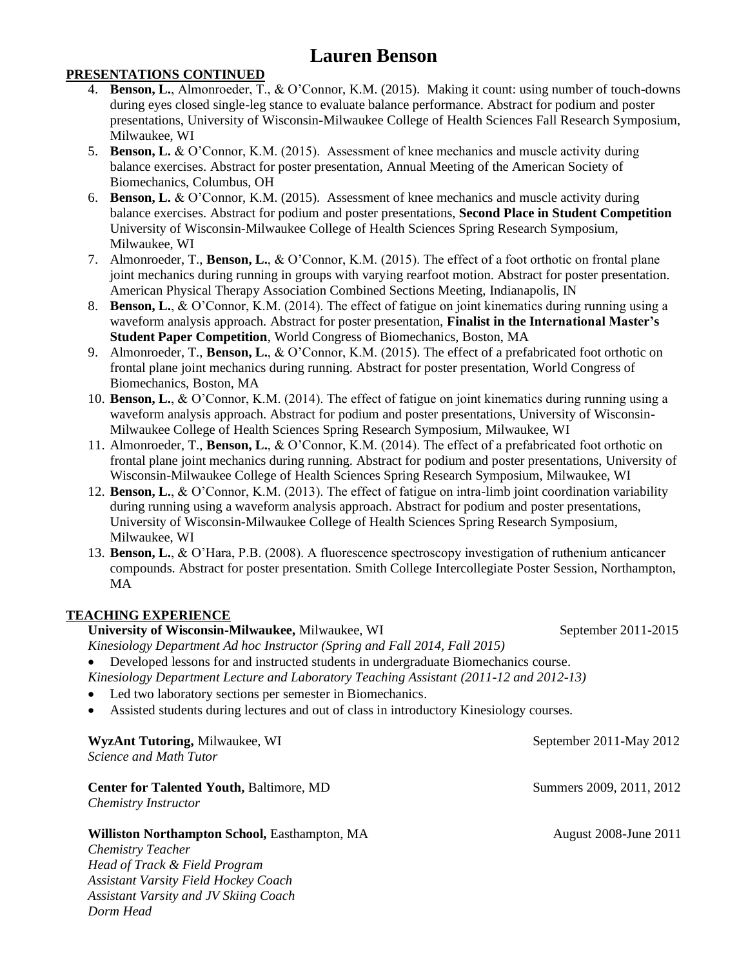#### **PRESENTATIONS CONTINUED**

- 4. **Benson, L.**, Almonroeder, T., & O'Connor, K.M. (2015). Making it count: using number of touch-downs during eyes closed single-leg stance to evaluate balance performance. Abstract for podium and poster presentations, University of Wisconsin-Milwaukee College of Health Sciences Fall Research Symposium, Milwaukee, WI
- 5. **Benson, L.** & O'Connor, K.M. (2015). Assessment of knee mechanics and muscle activity during balance exercises. Abstract for poster presentation, Annual Meeting of the American Society of Biomechanics, Columbus, OH
- 6. **Benson, L.** & O'Connor, K.M. (2015). Assessment of knee mechanics and muscle activity during balance exercises. Abstract for podium and poster presentations, **Second Place in Student Competition** University of Wisconsin-Milwaukee College of Health Sciences Spring Research Symposium, Milwaukee, WI
- 7. Almonroeder, T., **Benson, L.**, & O'Connor, K.M. (2015). The effect of a foot orthotic on frontal plane joint mechanics during running in groups with varying rearfoot motion. Abstract for poster presentation. American Physical Therapy Association Combined Sections Meeting, Indianapolis, IN
- 8. **Benson, L.**, & O'Connor, K.M. (2014). The effect of fatigue on joint kinematics during running using a waveform analysis approach. Abstract for poster presentation, **Finalist in the International Master's Student Paper Competition**, World Congress of Biomechanics, Boston, MA
- 9. Almonroeder, T., **Benson, L.**, & O'Connor, K.M. (2015). The effect of a prefabricated foot orthotic on frontal plane joint mechanics during running. Abstract for poster presentation, World Congress of Biomechanics, Boston, MA
- 10. **Benson, L.**, & O'Connor, K.M. (2014). The effect of fatigue on joint kinematics during running using a waveform analysis approach. Abstract for podium and poster presentations, University of Wisconsin-Milwaukee College of Health Sciences Spring Research Symposium, Milwaukee, WI
- 11. Almonroeder, T., **Benson, L.**, & O'Connor, K.M. (2014). The effect of a prefabricated foot orthotic on frontal plane joint mechanics during running. Abstract for podium and poster presentations, University of Wisconsin-Milwaukee College of Health Sciences Spring Research Symposium, Milwaukee, WI
- 12. **Benson, L.**, & O'Connor, K.M. (2013). The effect of fatigue on intra-limb joint coordination variability during running using a waveform analysis approach. Abstract for podium and poster presentations, University of Wisconsin-Milwaukee College of Health Sciences Spring Research Symposium, Milwaukee, WI
- 13. **Benson, L.**, & O'Hara, P.B. (2008). A fluorescence spectroscopy investigation of ruthenium anticancer compounds. Abstract for poster presentation. Smith College Intercollegiate Poster Session, Northampton, MA

#### **TEACHING EXPERIENCE**

*Dorm Head*

#### **University of Wisconsin-Milwaukee,** Milwaukee, WI September 2011-2015

*Kinesiology Department Ad hoc Instructor (Spring and Fall 2014, Fall 2015)* Developed lessons for and instructed students in undergraduate Biomechanics course. *Kinesiology Department Lecture and Laboratory Teaching Assistant (2011-12 and 2012-13)*

- Led two laboratory sections per semester in Biomechanics.
- Assisted students during lectures and out of class in introductory Kinesiology courses.

| <b>WyzAnt Tutoring, Milwaukee, WI</b><br>Science and Math Tutor                      | September 2011-May 2012  |
|--------------------------------------------------------------------------------------|--------------------------|
| <b>Center for Talented Youth, Baltimore, MD</b><br>Chemistry Instructor              | Summers 2009, 2011, 2012 |
| Williston Northampton School, Easthampton, MA<br><b>Chemistry Teacher</b>            | August 2008-June 2011    |
| Head of Track & Field Program                                                        |                          |
| <b>Assistant Varsity Field Hockey Coach</b><br>Assistant Varsity and JV Skiing Coach |                          |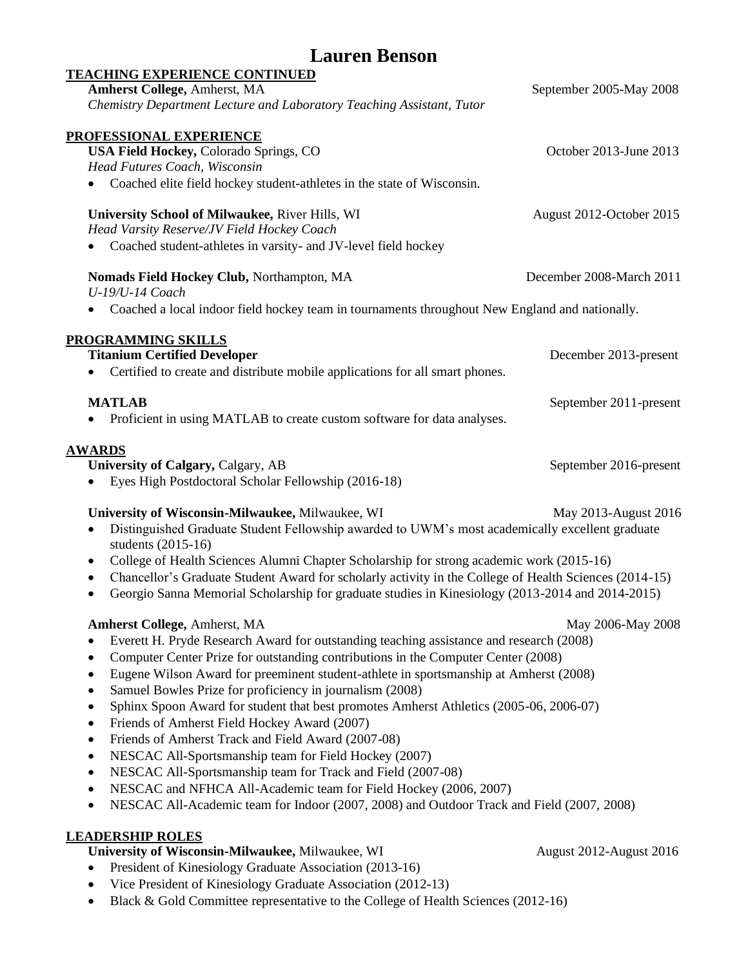| <b>Lauren Benson</b>                                                                                                       |                          |  |
|----------------------------------------------------------------------------------------------------------------------------|--------------------------|--|
| <b>TEACHING EXPERIENCE CONTINUED</b>                                                                                       |                          |  |
| <b>Amherst College, Amherst, MA</b>                                                                                        | September 2005-May 2008  |  |
| Chemistry Department Lecture and Laboratory Teaching Assistant, Tutor                                                      |                          |  |
| PROFESSIONAL EXPERIENCE                                                                                                    |                          |  |
| <b>USA Field Hockey, Colorado Springs, CO</b>                                                                              | October 2013-June 2013   |  |
| Head Futures Coach, Wisconsin                                                                                              |                          |  |
| Coached elite field hockey student-athletes in the state of Wisconsin.                                                     |                          |  |
| University School of Milwaukee, River Hills, WI                                                                            | August 2012-October 2015 |  |
| Head Varsity Reserve/JV Field Hockey Coach                                                                                 |                          |  |
| Coached student-athletes in varsity- and JV-level field hockey                                                             |                          |  |
| Nomads Field Hockey Club, Northampton, MA                                                                                  | December 2008-March 2011 |  |
| U-19/U-14 Coach                                                                                                            |                          |  |
| Coached a local indoor field hockey team in tournaments throughout New England and nationally.                             |                          |  |
| <b>PROGRAMMING SKILLS</b>                                                                                                  |                          |  |
| <b>Titanium Certified Developer</b>                                                                                        | December 2013-present    |  |
| Certified to create and distribute mobile applications for all smart phones.<br>٠                                          |                          |  |
| <b>MATLAB</b>                                                                                                              | September 2011-present   |  |
| Proficient in using MATLAB to create custom software for data analyses.                                                    |                          |  |
| <b>AWARDS</b>                                                                                                              |                          |  |
| University of Calgary, Calgary, AB                                                                                         | September 2016-present   |  |
| Eyes High Postdoctoral Scholar Fellowship (2016-18)                                                                        |                          |  |
| University of Wisconsin-Milwaukee, Milwaukee, WI                                                                           | May 2013-August 2016     |  |
| Distinguished Graduate Student Fellowship awarded to UWM's most academically excellent graduate<br>٠<br>students (2015-16) |                          |  |
| College of Health Sciences Alumni Chapter Scholarship for strong academic work (2015-16)<br>٠                              |                          |  |
| Chancellor's Graduate Student Award for scholarly activity in the College of Health Sciences (2014-15)<br>$\bullet$        |                          |  |
| Georgio Sanna Memorial Scholarship for graduate studies in Kinesiology (2013-2014 and 2014-2015)                           |                          |  |
| <b>Amherst College, Amherst, MA</b>                                                                                        | May 2006-May 2008        |  |
| Everett H. Pryde Research Award for outstanding teaching assistance and research (2008)<br>٠                               |                          |  |
| Computer Center Prize for outstanding contributions in the Computer Center (2008)<br>$\bullet$                             |                          |  |
| Eugene Wilson Award for preeminent student-athlete in sportsmanship at Amherst (2008)<br>$\bullet$                         |                          |  |
| Samuel Bowles Prize for proficiency in journalism (2008)<br>$\bullet$                                                      |                          |  |
| Sphinx Spoon Award for student that best promotes Amherst Athletics (2005-06, 2006-07)<br>$\bullet$                        |                          |  |
| Friends of Amherst Field Hockey Award (2007)<br>$\bullet$                                                                  |                          |  |
| Friends of Amherst Track and Field Award (2007-08)<br>$\bullet$                                                            |                          |  |
| NESCAC All-Sportsmanship team for Field Hockey (2007)<br>$\bullet$                                                         |                          |  |
| NESCAC All-Sportsmanship team for Track and Field (2007-08)<br>$\bullet$                                                   |                          |  |
| NESCAC and NFHCA All-Academic team for Field Hockey (2006, 2007)<br>$\bullet$                                              |                          |  |
| NESCAC All-Academic team for Indoor (2007, 2008) and Outdoor Track and Field (2007, 2008)<br>$\bullet$                     |                          |  |
| <b>LEADERSHIP ROLES</b>                                                                                                    |                          |  |
| University of Wisconsin-Milwaukee, Milwaukee, WI                                                                           | August 2012-August 2016  |  |
| President of Kinesiology Graduate Association (2013-16)                                                                    |                          |  |

- Vice President of Kinesiology Graduate Association (2012-13)
- Black & Gold Committee representative to the College of Health Sciences (2012-16)